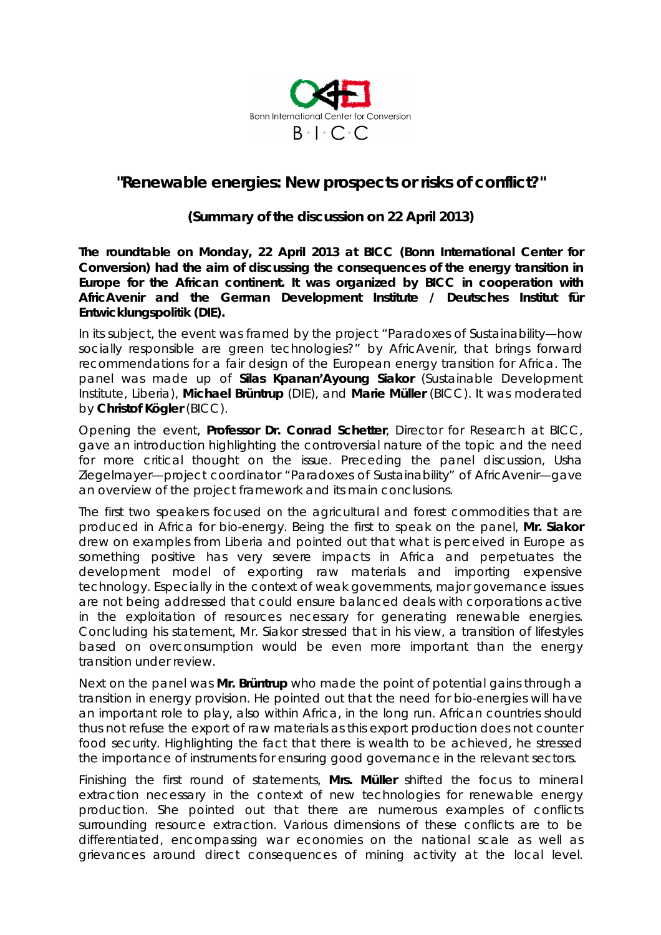

## *"Renewable energies: New prospects or risks of conflict?"*

## **(Summary of the discussion on 22 April 2013)**

**The roundtable on Monday, 22 April 2013 at BICC (Bonn International Center for Conversion) had the aim of discussing the consequences of the energy transition in Europe for the African continent. It was organized by BICC in cooperation with AfricAvenir and the German Development Institute / Deutsches Institut für Entwicklungspolitik (DIE).** 

In its subject, the event was framed by the project "Paradoxes of Sustainability—how socially responsible are green technologies?" by AfricAvenir, that brings forward recommendations for a fair design of the European energy transition for Africa. The panel was made up of **Silas Kpanan'Ayoung Siakor** (Sustainable Development Institute, Liberia), **Michael Brüntrup** (DIE), and **Marie Müller** (BICC). It was moderated by **Christof Kögler** (BICC).

Opening the event, **Professor Dr. Conrad Schetter**, Director for Research at BICC, gave an introduction highlighting the controversial nature of the topic and the need for more critical thought on the issue. Preceding the panel discussion, Usha Ziegelmayer—project coordinator "Paradoxes of Sustainability" of AfricAvenir—gave an overview of the project framework and its main conclusions.

The first two speakers focused on the agricultural and forest commodities that are produced in Africa for bio-energy. Being the first to speak on the panel, **Mr. Siakor** drew on examples from Liberia and pointed out that what is perceived in Europe as something positive has very severe impacts in Africa and perpetuates the development model of exporting raw materials and importing expensive technology. Especially in the context of weak governments, major governance issues are not being addressed that could ensure balanced deals with corporations active in the exploitation of resources necessary for generating renewable energies. Concluding his statement, Mr. Siakor stressed that in his view, a transition of lifestyles based on overconsumption would be even more important than the energy transition under review.

Next on the panel was **Mr. Brüntrup** who made the point of potential gains through a transition in energy provision. He pointed out that the need for bio-energies will have an important role to play, also within Africa, in the long run. African countries should thus not refuse the export of raw materials as this export production does not counter food security. Highlighting the fact that there is wealth to be achieved, he stressed the importance of instruments for ensuring good governance in the relevant sectors.

Finishing the first round of statements, **Mrs. Müller** shifted the focus to mineral extraction necessary in the context of new technologies for renewable energy production. She pointed out that there are numerous examples of conflicts surrounding resource extraction. Various dimensions of these conflicts are to be differentiated, encompassing war economies on the national scale as well as grievances around direct consequences of mining activity at the local level.